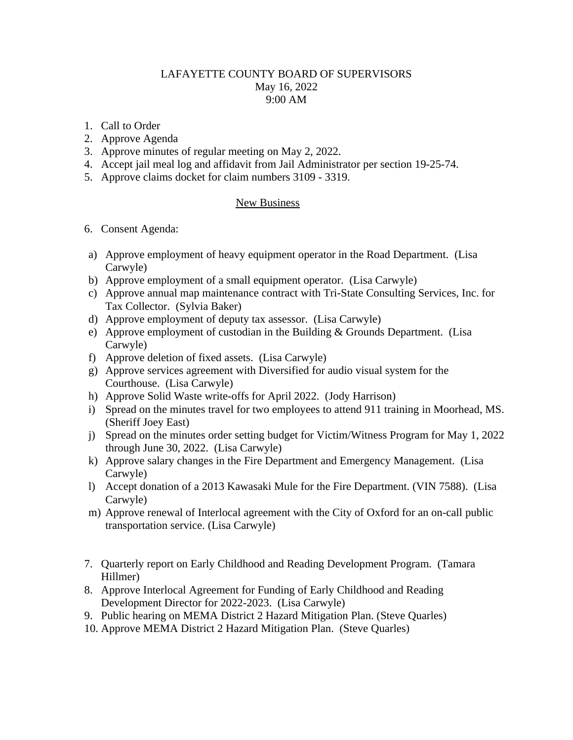## LAFAYETTE COUNTY BOARD OF SUPERVISORS May 16, 2022 9:00 AM

- 1. Call to Order
- 2. Approve Agenda
- 3. Approve minutes of regular meeting on May 2, 2022.
- 4. Accept jail meal log and affidavit from Jail Administrator per section 19-25-74.
- 5. Approve claims docket for claim numbers 3109 3319.

## New Business

- 6. Consent Agenda:
- a) Approve employment of heavy equipment operator in the Road Department. (Lisa Carwyle)
- b) Approve employment of a small equipment operator. (Lisa Carwyle)
- c) Approve annual map maintenance contract with Tri-State Consulting Services, Inc. for Tax Collector. (Sylvia Baker)
- d) Approve employment of deputy tax assessor. (Lisa Carwyle)
- e) Approve employment of custodian in the Building & Grounds Department. (Lisa Carwyle)
- f) Approve deletion of fixed assets. (Lisa Carwyle)
- g) Approve services agreement with Diversified for audio visual system for the Courthouse. (Lisa Carwyle)
- h) Approve Solid Waste write-offs for April 2022. (Jody Harrison)
- i) Spread on the minutes travel for two employees to attend 911 training in Moorhead, MS. (Sheriff Joey East)
- j) Spread on the minutes order setting budget for Victim/Witness Program for May 1, 2022 through June 30, 2022. (Lisa Carwyle)
- k) Approve salary changes in the Fire Department and Emergency Management. (Lisa Carwyle)
- l) Accept donation of a 2013 Kawasaki Mule for the Fire Department. (VIN 7588). (Lisa Carwyle)
- m) Approve renewal of Interlocal agreement with the City of Oxford for an on-call public transportation service. (Lisa Carwyle)
- 7. Quarterly report on Early Childhood and Reading Development Program. (Tamara Hillmer)
- 8. Approve Interlocal Agreement for Funding of Early Childhood and Reading Development Director for 2022-2023. (Lisa Carwyle)
- 9. Public hearing on MEMA District 2 Hazard Mitigation Plan. (Steve Quarles)
- 10. Approve MEMA District 2 Hazard Mitigation Plan. (Steve Quarles)